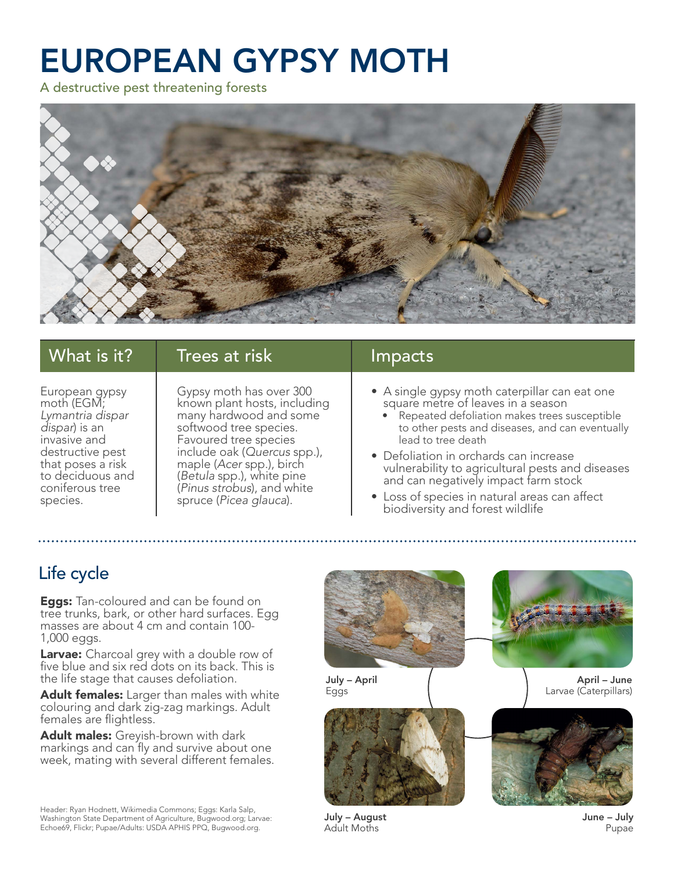# EUROPEAN GYPSY MOTH

A destructive pest threatening forests



| What is it?       | Trees at risk                | Impacts                                          |
|-------------------|------------------------------|--------------------------------------------------|
| European gypsy    | Gypsy moth has over 300      | • A single gypsy moth caterpillar can eat one    |
| moth (EGM;        | known plant hosts, including | square metre of leaves in a season               |
| Lymantria dispar  | many hardwood and some       | • Repeated defoliation makes trees susceptible   |
| dispar) is an     | softwood tree species.       | to other pests and diseases, and can eventually  |
| invasive and      | Favoured tree species        | lead to tree death                               |
| destructive pest  | include oak (Quercus spp.),  | • Defoliation in orchards can increase           |
| that poses a risk | maple (Acer spp.), birch     | vulnerability to agricultural pests and diseases |
| to deciduous and  | (Betula spp.), white pine    | and can negatively impact farm stock             |
| coniferous tree   | (Pinus strobus), and white   | • Loss of species in natural areas can affect    |
| species.          | spruce (Picea glauca).       | biodiversity and forest wildlife                 |

## Life cycle

**Eggs:** Tan-coloured and can be found on tree trunks, bark, or other hard surfaces. Egg masses are about 4 cm and contain 100- 1,000 eggs.

Larvae: Charcoal grey with a double row of five blue and six red dots on its back. This is the life stage that causes defoliation.

Adult females: Larger than males with white colouring and dark zig-zag markings. Adult females are flightless.

Adult males: Greyish-brown with dark markings and can fly and survive about one week, mating with several different females.

Header: Ryan Hodnett, Wikimedia Commons; Eggs: Karla Salp, Washington State Department of Agriculture, Bugwood.org; Larvae: Echoe69, Flickr; Pupae/Adults: USDA APHIS PPQ, Bugwood.org.



July – August Adult Moths

June – July Pupae